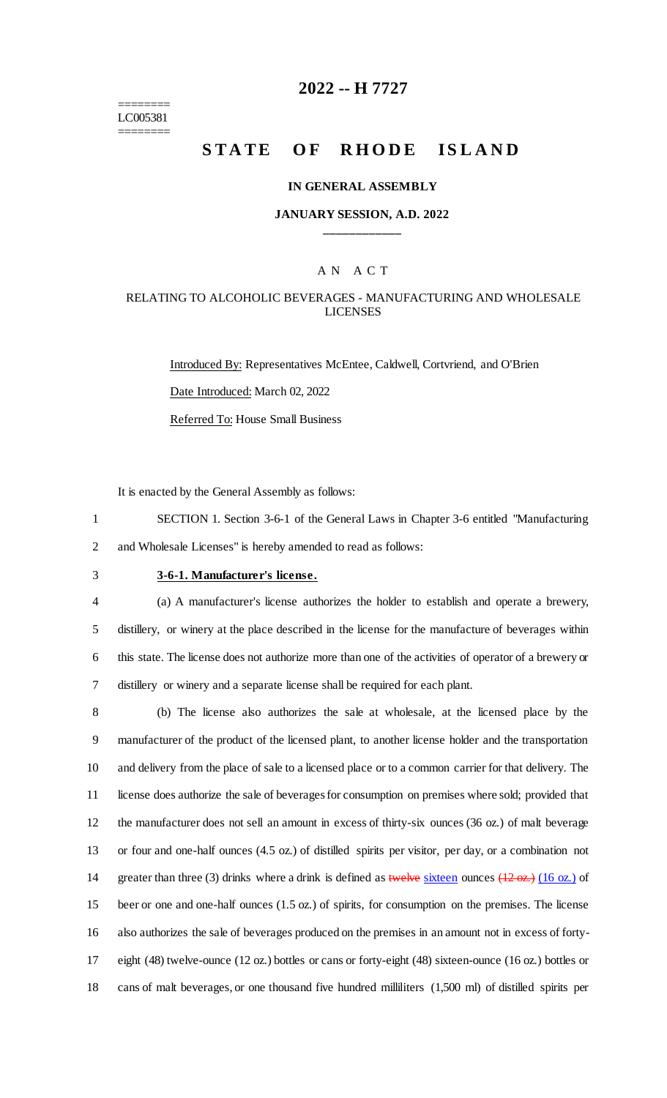======== LC005381 ========

### **2022 -- H 7727**

# **STATE OF RHODE ISLAND**

#### **IN GENERAL ASSEMBLY**

#### **JANUARY SESSION, A.D. 2022 \_\_\_\_\_\_\_\_\_\_\_\_**

### A N A C T

#### RELATING TO ALCOHOLIC BEVERAGES - MANUFACTURING AND WHOLESALE LICENSES

Introduced By: Representatives McEntee, Caldwell, Cortvriend, and O'Brien Date Introduced: March 02, 2022 Referred To: House Small Business

It is enacted by the General Assembly as follows:

1 SECTION 1. Section 3-6-1 of the General Laws in Chapter 3-6 entitled "Manufacturing 2 and Wholesale Licenses" is hereby amended to read as follows:

### 3 **3-6-1. Manufacturer's license.**

 (a) A manufacturer's license authorizes the holder to establish and operate a brewery, distillery, or winery at the place described in the license for the manufacture of beverages within this state. The license does not authorize more than one of the activities of operator of a brewery or distillery or winery and a separate license shall be required for each plant.

 (b) The license also authorizes the sale at wholesale, at the licensed place by the manufacturer of the product of the licensed plant, to another license holder and the transportation and delivery from the place of sale to a licensed place or to a common carrier for that delivery. The license does authorize the sale of beverages for consumption on premises where sold; provided that the manufacturer does not sell an amount in excess of thirty-six ounces (36 oz.) of malt beverage or four and one-half ounces (4.5 oz.) of distilled spirits per visitor, per day, or a combination not 14 greater than three (3) drinks where a drink is defined as twelve sixteen ounces (12 oz.) (16 oz.) of beer or one and one-half ounces (1.5 oz.) of spirits, for consumption on the premises. The license also authorizes the sale of beverages produced on the premises in an amount not in excess of forty- eight (48) twelve-ounce (12 oz.) bottles or cans or forty-eight (48) sixteen-ounce (16 oz.) bottles or cans of malt beverages, or one thousand five hundred milliliters (1,500 ml) of distilled spirits per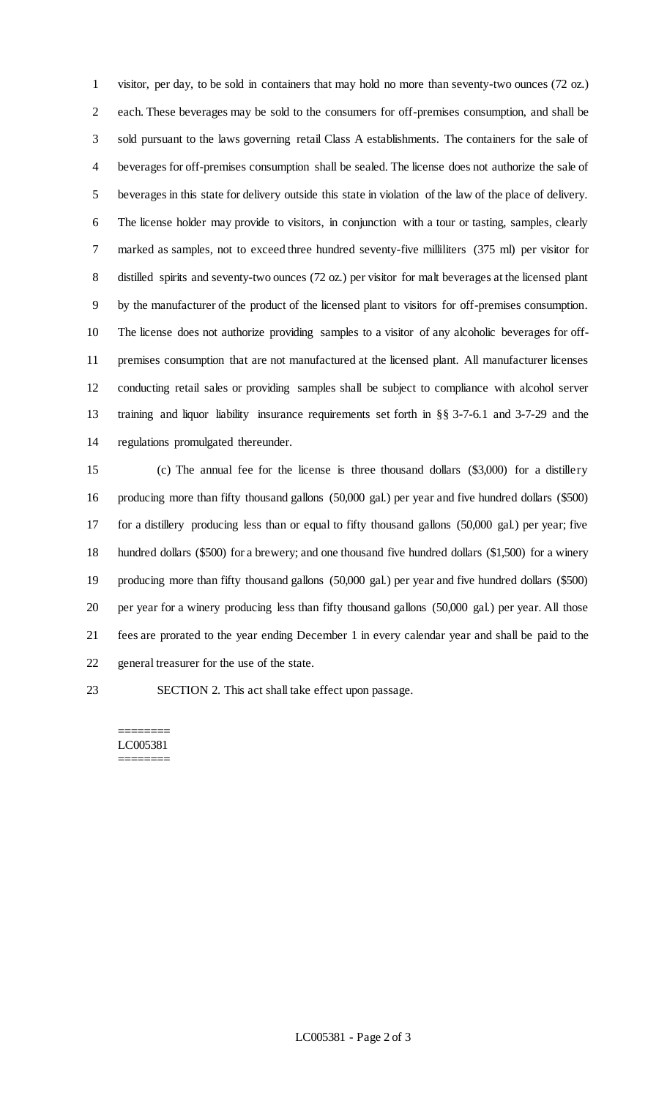visitor, per day, to be sold in containers that may hold no more than seventy-two ounces (72 oz.) each. These beverages may be sold to the consumers for off-premises consumption, and shall be sold pursuant to the laws governing retail Class A establishments. The containers for the sale of beverages for off-premises consumption shall be sealed. The license does not authorize the sale of beverages in this state for delivery outside this state in violation of the law of the place of delivery. The license holder may provide to visitors, in conjunction with a tour or tasting, samples, clearly marked as samples, not to exceed three hundred seventy-five milliliters (375 ml) per visitor for distilled spirits and seventy-two ounces (72 oz.) per visitor for malt beverages at the licensed plant by the manufacturer of the product of the licensed plant to visitors for off-premises consumption. The license does not authorize providing samples to a visitor of any alcoholic beverages for off- premises consumption that are not manufactured at the licensed plant. All manufacturer licenses conducting retail sales or providing samples shall be subject to compliance with alcohol server training and liquor liability insurance requirements set forth in §§ 3-7-6.1 and 3-7-29 and the regulations promulgated thereunder.

 (c) The annual fee for the license is three thousand dollars (\$3,000) for a distillery producing more than fifty thousand gallons (50,000 gal.) per year and five hundred dollars (\$500) for a distillery producing less than or equal to fifty thousand gallons (50,000 gal.) per year; five hundred dollars (\$500) for a brewery; and one thousand five hundred dollars (\$1,500) for a winery producing more than fifty thousand gallons (50,000 gal.) per year and five hundred dollars (\$500) per year for a winery producing less than fifty thousand gallons (50,000 gal.) per year. All those fees are prorated to the year ending December 1 in every calendar year and shall be paid to the general treasurer for the use of the state.

SECTION 2. This act shall take effect upon passage.

======== LC005381 ========